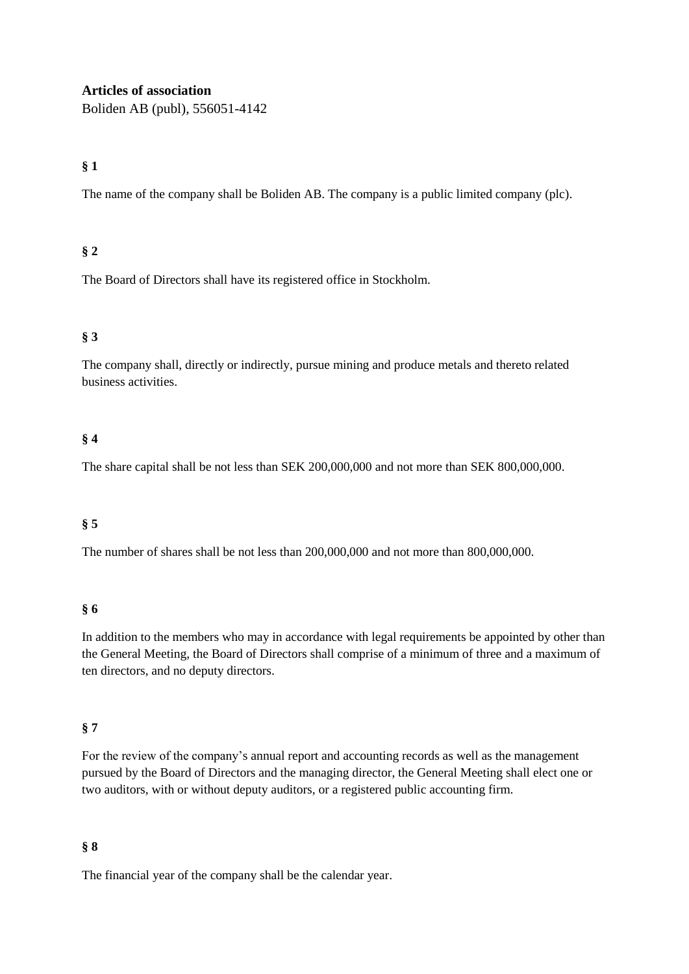#### **Articles of association**

Boliden AB (publ), 556051-4142

## **§ 1**

The name of the company shall be Boliden AB. The company is a public limited company (plc).

## **§ 2**

The Board of Directors shall have its registered office in Stockholm.

## **§ 3**

The company shall, directly or indirectly, pursue mining and produce metals and thereto related business activities.

## **§ 4**

The share capital shall be not less than SEK 200,000,000 and not more than SEK 800,000,000.

#### **§ 5**

The number of shares shall be not less than 200,000,000 and not more than 800,000,000.

#### **§ 6**

In addition to the members who may in accordance with legal requirements be appointed by other than the General Meeting, the Board of Directors shall comprise of a minimum of three and a maximum of ten directors, and no deputy directors.

#### **§ 7**

For the review of the company's annual report and accounting records as well as the management pursued by the Board of Directors and the managing director, the General Meeting shall elect one or two auditors, with or without deputy auditors, or a registered public accounting firm.

#### **§ 8**

The financial year of the company shall be the calendar year.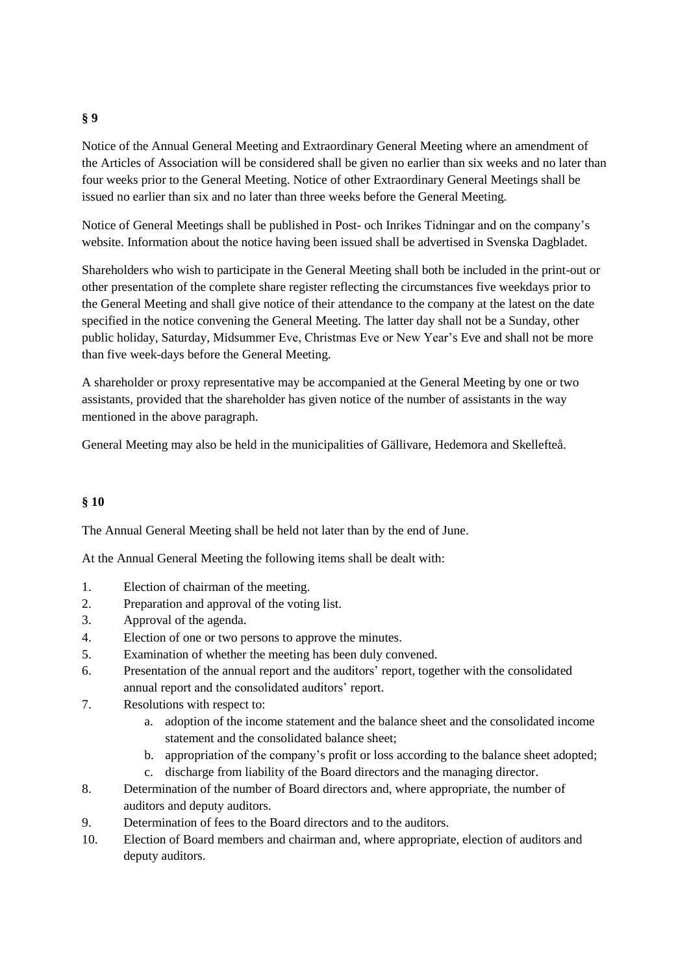#### **§ 9**

Notice of the Annual General Meeting and Extraordinary General Meeting where an amendment of the Articles of Association will be considered shall be given no earlier than six weeks and no later than four weeks prior to the General Meeting. Notice of other Extraordinary General Meetings shall be issued no earlier than six and no later than three weeks before the General Meeting.

Notice of General Meetings shall be published in Post- och Inrikes Tidningar and on the company's website. Information about the notice having been issued shall be advertised in Svenska Dagbladet.

Shareholders who wish to participate in the General Meeting shall both be included in the print-out or other presentation of the complete share register reflecting the circumstances five weekdays prior to the General Meeting and shall give notice of their attendance to the company at the latest on the date specified in the notice convening the General Meeting. The latter day shall not be a Sunday, other public holiday, Saturday, Midsummer Eve, Christmas Eve or New Year's Eve and shall not be more than five week-days before the General Meeting.

A shareholder or proxy representative may be accompanied at the General Meeting by one or two assistants, provided that the shareholder has given notice of the number of assistants in the way mentioned in the above paragraph.

General Meeting may also be held in the municipalities of Gällivare, Hedemora and Skellefteå.

#### **§ 10**

The Annual General Meeting shall be held not later than by the end of June.

At the Annual General Meeting the following items shall be dealt with:

- 1. Election of chairman of the meeting.
- 2. Preparation and approval of the voting list.
- 3. Approval of the agenda.
- 4. Election of one or two persons to approve the minutes.
- 5. Examination of whether the meeting has been duly convened.
- 6. Presentation of the annual report and the auditors' report, together with the consolidated annual report and the consolidated auditors' report.
- 7. Resolutions with respect to:
	- a. adoption of the income statement and the balance sheet and the consolidated income statement and the consolidated balance sheet;
	- b. appropriation of the company's profit or loss according to the balance sheet adopted; c. discharge from liability of the Board directors and the managing director.
- 8. Determination of the number of Board directors and, where appropriate, the number of auditors and deputy auditors.
- 9. Determination of fees to the Board directors and to the auditors.
- 10. Election of Board members and chairman and, where appropriate, election of auditors and deputy auditors.